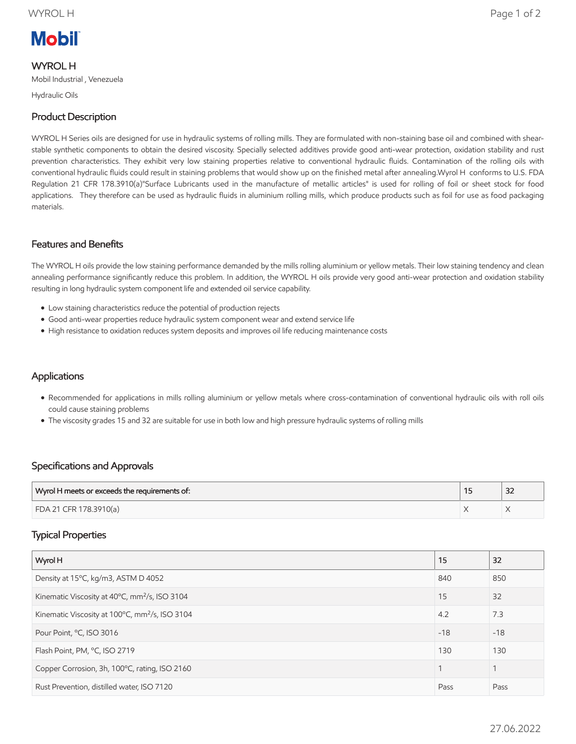# **Mobil**

WYROL H Mobil Industrial , Venezuela

Hydraulic Oils

# Product Description

WYROL H Series oils are designed for use in hydraulic systems of rolling mills. They are formulated with non-staining base oil and combined with shearstable synthetic components to obtain the desired viscosity. Specially selected additives provide good anti-wear protection, oxidation stability and rust prevention characteristics. They exhibit very low staining properties relative to conventional hydraulic fluids. Contamination of the rolling oils with conventional hydraulic fluids could result in staining problems that would show up on the finished metal after annealing.Wyrol H conforms to U.S. FDA Regulation 21 CFR 178.3910(a)"Surface Lubricants used in the manufacture of metallic articles" is used for rolling of foil or sheet stock for food applications. They therefore can be used as hydraulic fluids in aluminium rolling mills, which produce products such as foil for use as food packaging materials.

#### Features and Benefits

The WYROL H oils provide the low staining performance demanded by the mills rolling aluminium or yellow metals. Their low staining tendency and clean annealing performance significantly reduce this problem. In addition, the WYROL H oils provide very good anti-wear protection and oxidation stability resulting in long hydraulic system component life and extended oil service capability.

- Low staining characteristics reduce the potential of production rejects
- Good anti-wear properties reduce hydraulic system component wear and extend service life
- High resistance to oxidation reduces system deposits and improves oil life reducing maintenance costs

### **Applications**

- Recommended for applications in mills rolling aluminium or yellow metals where cross-contamination of conventional hydraulic oils with roll oils could cause staining problems
- The viscosity grades 15 and 32 are suitable for use in both low and high pressure hydraulic systems of rolling mills

### Specifications and Approvals

| Wyrol H meets or exceeds the requirements of: | $\sim$<br>ےر |
|-----------------------------------------------|--------------|
| FDA 21 CFR 178.3910(a)                        |              |

### Typical Properties

| Wyrol H                                                    | 15    | 32    |
|------------------------------------------------------------|-------|-------|
| Density at 15°C, kg/m3, ASTM D 4052                        | 840   | 850   |
| Kinematic Viscosity at 40°C, mm <sup>2</sup> /s, ISO 3104  | 15    | 32    |
| Kinematic Viscosity at 100°C, mm <sup>2</sup> /s, ISO 3104 | 4.2   | 7.3   |
| Pour Point, °C, ISO 3016                                   | $-18$ | $-18$ |
| Flash Point, PM, °C, ISO 2719                              | 130   | 130   |
| Copper Corrosion, 3h, 100°C, rating, ISO 2160              | 1     | 1     |
| Rust Prevention, distilled water, ISO 7120                 | Pass  | Pass  |